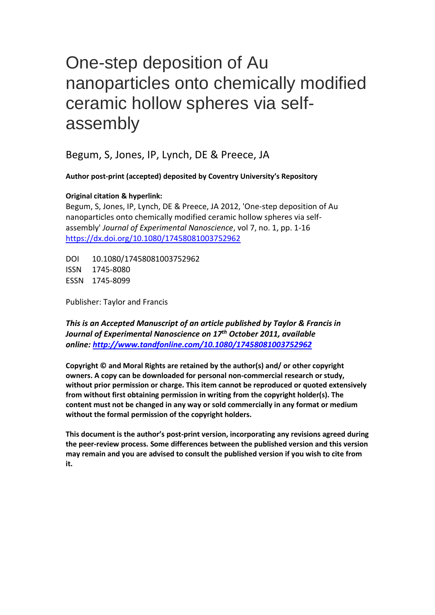# One-step deposition of Au nanoparticles onto chemically modified ceramic hollow spheres via selfassembly

Begum, S, Jones, IP, Lynch, DE & Preece, JA

**Author post-print (accepted) deposited by Coventry University's Repository**

# **Original citation & hyperlink:**

Begum, S, Jones, IP, Lynch, DE & Preece, JA 2012, 'One-step deposition of Au nanoparticles onto chemically modified ceramic hollow spheres via selfassembly' *Journal of Experimental Nanoscience*, vol 7, no. 1, pp. 1-16 <https://dx.doi.org/10.1080/17458081003752962>

DOI 10.1080/17458081003752962 ISSN 1745-8080 ESSN 1745-8099

Publisher: Taylor and Francis

*This is an Accepted Manuscript of an article published by Taylor & Francis in Journal of Experimental Nanoscience on 17th October 2011, available online: <http://www.tandfonline.com/10.1080/17458081003752962>*

**Copyright © and Moral Rights are retained by the author(s) and/ or other copyright owners. A copy can be downloaded for personal non-commercial research or study, without prior permission or charge. This item cannot be reproduced or quoted extensively from without first obtaining permission in writing from the copyright holder(s). The content must not be changed in any way or sold commercially in any format or medium without the formal permission of the copyright holders.** 

**This document is the author's post-print version, incorporating any revisions agreed during the peer-review process. Some differences between the published version and this version may remain and you are advised to consult the published version if you wish to cite from it.**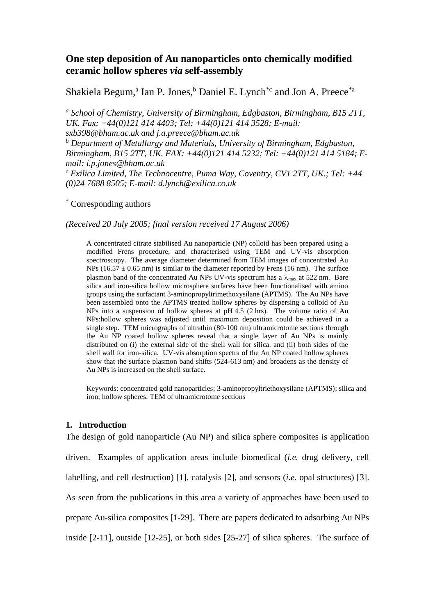# **One step deposition of Au nanoparticles onto chemically modified ceramic hollow spheres** *via* **self-assembly**

Shakiela Begum,<sup>a</sup> Ian P. Jones,<sup>b</sup> Daniel E. Lynch<sup>\*c</sup> and Jon A. Preece<sup>\*a</sup>

*a School of Chemistry, University of Birmingham, Edgbaston, Birmingham, B15 2TT, UK. Fax: +44(0)121 414 4403; Tel: +44(0)121 414 3528; E-mail: sxb398@bham.ac.uk and j.a.preece@bham.ac.uk*

*<sup>b</sup> Department of Metallurgy and Materials, University of Birmingham, Edgbaston, Birmingham, B15 2TT, UK. FAX: +44(0)121 414 5232; Tel: +44(0)121 414 5184; Email: i.p.jones@bham.ac.uk*

*<sup>c</sup> Exilica Limited, The Technocentre, Puma Way, Coventry, CV1 2TT, UK.; Tel: +44 (0)24 7688 8505; E-mail: d.lynch@exilica.co.uk*

\* Corresponding authors

*(Received 20 July 2005; final version received 17 August 2006)*

A concentrated citrate stabilised Au nanoparticle (NP) colloid has been prepared using a modified Frens procedure, and characterised using TEM and UV-vis absorption spectroscopy. The average diameter determined from TEM images of concentrated Au NPs (16.57  $\pm$  0.65 nm) is similar to the diameter reported by Frens (16 nm). The surface plasmon band of the concentrated Au NPs UV-vis spectrum has a  $\lambda_{\text{max}}$  at 522 nm. Bare silica and iron-silica hollow microsphere surfaces have been functionalised with amino groups using the surfactant 3-aminopropyltrimethoxysilane (APTMS). The Au NPs have been assembled onto the APTMS treated hollow spheres by dispersing a colloid of Au NPs into a suspension of hollow spheres at pH 4.5 (2 hrs). The volume ratio of Au NPs:hollow spheres was adjusted until maximum deposition could be achieved in a single step. TEM micrographs of ultrathin (80-100 nm) ultramicrotome sections through the Au NP coated hollow spheres reveal that a single layer of Au NPs is mainly distributed on (i) the external side of the shell wall for silica, and (ii) both sides of the shell wall for iron-silica. UV-vis absorption spectra of the Au NP coated hollow spheres show that the surface plasmon band shifts (524-613 nm) and broadens as the density of Au NPs is increased on the shell surface.

Keywords: concentrated gold nanoparticles; 3-aminopropyltriethoxysilane (APTMS); silica and iron; hollow spheres; TEM of ultramicrotome sections

## **1. Introduction**

The design of gold nanoparticle (Au NP) and silica sphere composites is application driven. Examples of application areas include biomedical (*i.e.* drug delivery, cell labelling, and cell destruction) [1], catalysis [2], and sensors (*i.e.* opal structures) [3]. As seen from the publications in this area a variety of approaches have been used to prepare Au-silica composites [1-29]. There are papers dedicated to adsorbing Au NPs inside [2-11], outside [12-25], or both sides [25-27] of silica spheres. The surface of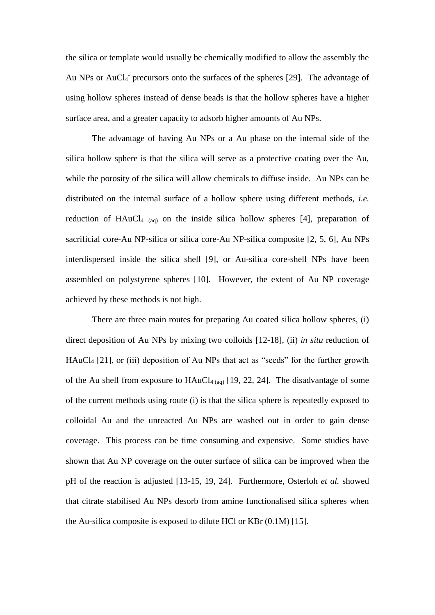the silica or template would usually be chemically modified to allow the assembly the Au NPs or AuCl4<sup>-</sup> precursors onto the surfaces of the spheres [29]. The advantage of using hollow spheres instead of dense beads is that the hollow spheres have a higher surface area, and a greater capacity to adsorb higher amounts of Au NPs.

The advantage of having Au NPs or a Au phase on the internal side of the silica hollow sphere is that the silica will serve as a protective coating over the Au, while the porosity of the silica will allow chemicals to diffuse inside. Au NPs can be distributed on the internal surface of a hollow sphere using different methods, *i.e.* reduction of HAuCl<sub>4 (aq)</sub> on the inside silica hollow spheres [4], preparation of sacrificial core-Au NP-silica or silica core-Au NP-silica composite [2, 5, 6], Au NPs interdispersed inside the silica shell [9], or Au-silica core-shell NPs have been assembled on polystyrene spheres [10]. However, the extent of Au NP coverage achieved by these methods is not high.

There are three main routes for preparing Au coated silica hollow spheres, (i) direct deposition of Au NPs by mixing two colloids [12-18], (ii) *in situ* reduction of HAuCl<sub>4</sub> [21], or (iii) deposition of Au NPs that act as "seeds" for the further growth of the Au shell from exposure to  $HAuCl_{4(aq)}$  [19, 22, 24]. The disadvantage of some of the current methods using route (i) is that the silica sphere is repeatedly exposed to colloidal Au and the unreacted Au NPs are washed out in order to gain dense coverage. This process can be time consuming and expensive. Some studies have shown that Au NP coverage on the outer surface of silica can be improved when the pH of the reaction is adjusted [13-15, 19, 24]. Furthermore, Osterloh *et al.* showed that citrate stabilised Au NPs desorb from amine functionalised silica spheres when the Au-silica composite is exposed to dilute HCl or KBr (0.1M) [15].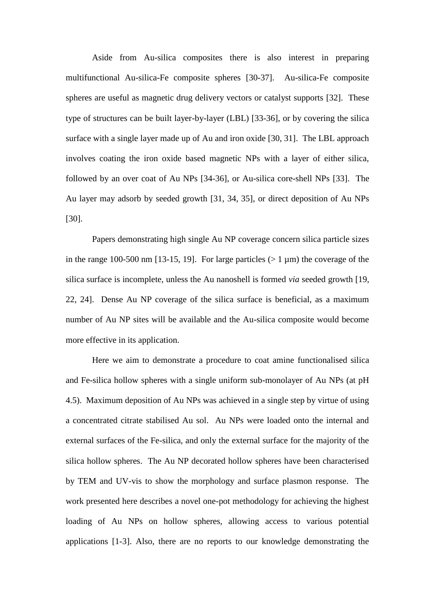Aside from Au-silica composites there is also interest in preparing multifunctional Au-silica-Fe composite spheres [30-37]. Au-silica-Fe composite spheres are useful as magnetic drug delivery vectors or catalyst supports [32]. These type of structures can be built layer-by-layer (LBL) [33-36], or by covering the silica surface with a single layer made up of Au and iron oxide [30, 31]. The LBL approach involves coating the iron oxide based magnetic NPs with a layer of either silica, followed by an over coat of Au NPs [34-36], or Au-silica core-shell NPs [33]. The Au layer may adsorb by seeded growth [31, 34, 35], or direct deposition of Au NPs [30].

Papers demonstrating high single Au NP coverage concern silica particle sizes in the range 100-500 nm [13-15, 19]. For large particles  $(> 1 \mu m)$  the coverage of the silica surface is incomplete, unless the Au nanoshell is formed *via* seeded growth [19, 22, 24]. Dense Au NP coverage of the silica surface is beneficial, as a maximum number of Au NP sites will be available and the Au-silica composite would become more effective in its application.

Here we aim to demonstrate a procedure to coat amine functionalised silica and Fe-silica hollow spheres with a single uniform sub-monolayer of Au NPs (at pH 4.5). Maximum deposition of Au NPs was achieved in a single step by virtue of using a concentrated citrate stabilised Au sol. Au NPs were loaded onto the internal and external surfaces of the Fe-silica, and only the external surface for the majority of the silica hollow spheres. The Au NP decorated hollow spheres have been characterised by TEM and UV-vis to show the morphology and surface plasmon response. The work presented here describes a novel one-pot methodology for achieving the highest loading of Au NPs on hollow spheres, allowing access to various potential applications [1-3]. Also, there are no reports to our knowledge demonstrating the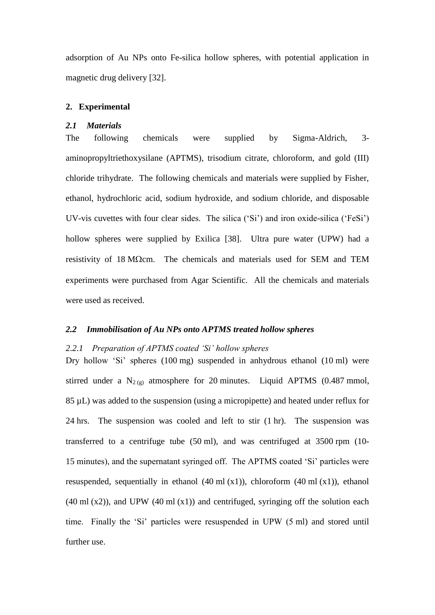adsorption of Au NPs onto Fe-silica hollow spheres, with potential application in magnetic drug delivery [32].

#### **2. Experimental**

#### *2.1 Materials*

The following chemicals were supplied by Sigma-Aldrich, 3 aminopropyltriethoxysilane (APTMS), trisodium citrate, chloroform, and gold (III) chloride trihydrate. The following chemicals and materials were supplied by Fisher, ethanol, hydrochloric acid, sodium hydroxide, and sodium chloride, and disposable UV-vis cuvettes with four clear sides. The silica ('Si') and iron oxide-silica ('FeSi') hollow spheres were supplied by Exilica [38]. Ultra pure water (UPW) had a resistivity of 18 M $\Omega$ cm. The chemicals and materials used for SEM and TEM experiments were purchased from Agar Scientific. All the chemicals and materials were used as received.

#### *2.2 Immobilisation of Au NPs onto APTMS treated hollow spheres*

## *2.2.1 Preparation of APTMS coated 'Si' hollow spheres*

Dry hollow 'Si' spheres (100 mg) suspended in anhydrous ethanol (10 ml) were stirred under a  $N_{2(g)}$  atmosphere for 20 minutes. Liquid APTMS (0.487 mmol, 85 µL) was added to the suspension (using a micropipette) and heated under reflux for 24 hrs. The suspension was cooled and left to stir (1 hr). The suspension was transferred to a centrifuge tube (50 ml), and was centrifuged at 3500 rpm (10- 15 minutes), and the supernatant syringed off. The APTMS coated 'Si' particles were resuspended, sequentially in ethanol (40 ml  $(x1)$ ), chloroform (40 ml  $(x1)$ ), ethanol  $(40 \text{ ml } (x2))$ , and UPW  $(40 \text{ ml } (x1))$  and centrifuged, syringing off the solution each time. Finally the 'Si' particles were resuspended in UPW (5 ml) and stored until further use.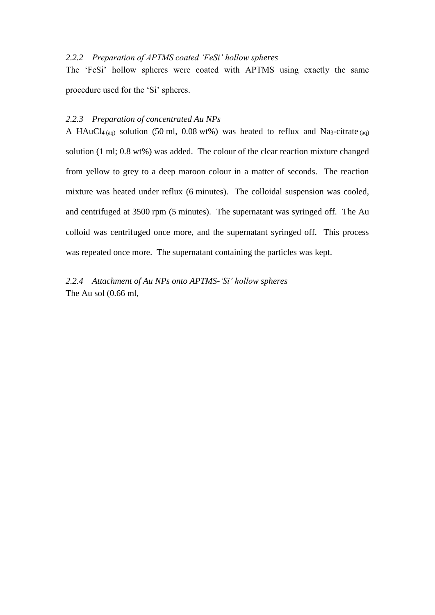## *2.2.2 Preparation of APTMS coated 'FeSi' hollow spheres*

The 'FeSi' hollow spheres were coated with APTMS using exactly the same procedure used for the 'Si' spheres.

## *2.2.3 Preparation of concentrated Au NPs*

A HAuCl<sub>4 (aq)</sub> solution (50 ml, 0.08 wt%) was heated to reflux and Na<sub>3</sub>-citrate <sub>(aq)</sub> solution (1 ml; 0.8 wt%) was added. The colour of the clear reaction mixture changed from yellow to grey to a deep maroon colour in a matter of seconds. The reaction mixture was heated under reflux (6 minutes). The colloidal suspension was cooled, and centrifuged at 3500 rpm (5 minutes). The supernatant was syringed off. The Au colloid was centrifuged once more, and the supernatant syringed off. This process was repeated once more. The supernatant containing the particles was kept.

*2.2.4 Attachment of Au NPs onto APTMS-'Si' hollow spheres* The Au sol (0.66 ml,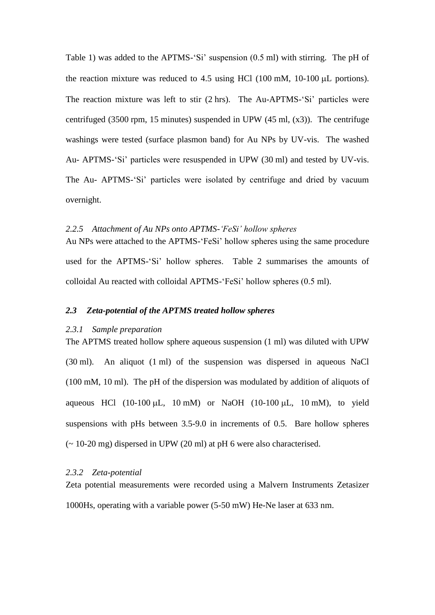[Table 1\)](#page-21-0) was added to the APTMS-'Si' suspension (0.5 ml) with stirring. The pH of the reaction mixture was reduced to 4.5 using HCl  $(100 \text{ mM}, 10\text{-}100 \mu\text{L}$  portions). The reaction mixture was left to stir (2 hrs). The Au-APTMS-'Si' particles were centrifuged (3500 rpm, 15 minutes) suspended in UPW (45 ml,  $(x3)$ ). The centrifuge washings were tested (surface plasmon band) for Au NPs by UV-vis. The washed Au- APTMS-'Si' particles were resuspended in UPW (30 ml) and tested by UV-vis. The Au- APTMS-'Si' particles were isolated by centrifuge and dried by vacuum overnight.

## *2.2.5 Attachment of Au NPs onto APTMS-'FeSi' hollow spheres*

Au NPs were attached to the APTMS-'FeSi' hollow spheres using the same procedure used for the APTMS-'Si' hollow spheres. [Table](#page-23-0) 2 summarises the amounts of colloidal Au reacted with colloidal APTMS-'FeSi' hollow spheres (0.5 ml).

## *2.3 Zeta-potential of the APTMS treated hollow spheres*

#### *2.3.1 Sample preparation*

The APTMS treated hollow sphere aqueous suspension (1 ml) was diluted with UPW (30 ml). An aliquot (1 ml) of the suspension was dispersed in aqueous NaCl (100 mM, 10 ml). The pH of the dispersion was modulated by addition of aliquots of aqueous HCl  $(10-100 \mu L, 10 \mu M)$  or NaOH  $(10-100 \mu L, 10 \mu M)$ , to yield suspensions with pHs between 3.5-9.0 in increments of 0.5. Bare hollow spheres (~ 10-20 mg) dispersed in UPW (20 ml) at pH 6 were also characterised.

## *2.3.2 Zeta-potential*

Zeta potential measurements were recorded using a Malvern Instruments Zetasizer 1000Hs, operating with a variable power (5-50 mW) He-Ne laser at 633 nm.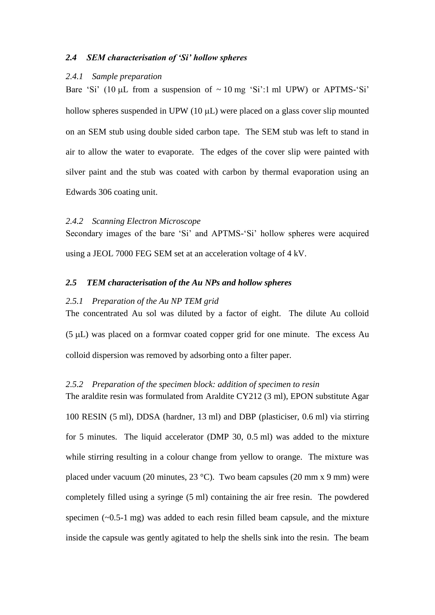## *2.4 SEM characterisation of 'Si' hollow spheres*

#### *2.4.1 Sample preparation*

Bare 'Si' (10  $\mu$ L from a suspension of  $\sim 10$  mg 'Si':1 ml UPW) or APTMS-'Si' hollow spheres suspended in UPW (10  $\mu$ L) were placed on a glass cover slip mounted on an SEM stub using double sided carbon tape. The SEM stub was left to stand in air to allow the water to evaporate. The edges of the cover slip were painted with silver paint and the stub was coated with carbon by thermal evaporation using an Edwards 306 coating unit.

#### *2.4.2 Scanning Electron Microscope*

Secondary images of the bare 'Si' and APTMS-'Si' hollow spheres were acquired using a JEOL 7000 FEG SEM set at an acceleration voltage of 4 kV.

## *2.5 TEM characterisation of the Au NPs and hollow spheres*

## *2.5.1 Preparation of the Au NP TEM grid*

The concentrated Au sol was diluted by a factor of eight. The dilute Au colloid  $(5 \mu L)$  was placed on a formvar coated copper grid for one minute. The excess Au colloid dispersion was removed by adsorbing onto a filter paper.

#### *2.5.2 Preparation of the specimen block: addition of specimen to resin*

The araldite resin was formulated from Araldite CY212 (3 ml), EPON substitute Agar 100 RESIN (5 ml), DDSA (hardner, 13 ml) and DBP (plasticiser, 0.6 ml) via stirring for 5 minutes. The liquid accelerator (DMP 30, 0.5 ml) was added to the mixture while stirring resulting in a colour change from yellow to orange. The mixture was placed under vacuum (20 minutes, 23 °C). Two beam capsules (20 mm x 9 mm) were completely filled using a syringe (5 ml) containing the air free resin. The powdered specimen (~0.5-1 mg) was added to each resin filled beam capsule, and the mixture inside the capsule was gently agitated to help the shells sink into the resin. The beam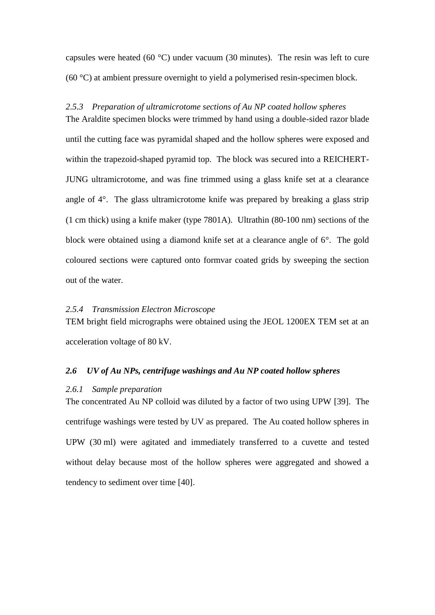capsules were heated (60 °C) under vacuum (30 minutes). The resin was left to cure (60 °C) at ambient pressure overnight to yield a polymerised resin-specimen block.

#### *2.5.3 Preparation of ultramicrotome sections of Au NP coated hollow spheres*

The Araldite specimen blocks were trimmed by hand using a double-sided razor blade until the cutting face was pyramidal shaped and the hollow spheres were exposed and within the trapezoid-shaped pyramid top. The block was secured into a REICHERT-JUNG ultramicrotome, and was fine trimmed using a glass knife set at a clearance angle of 4°. The glass ultramicrotome knife was prepared by breaking a glass strip (1 cm thick) using a knife maker (type 7801A). Ultrathin (80-100 nm) sections of the block were obtained using a diamond knife set at a clearance angle of 6°. The gold coloured sections were captured onto formvar coated grids by sweeping the section out of the water.

## *2.5.4 Transmission Electron Microscope*

TEM bright field micrographs were obtained using the JEOL 1200EX TEM set at an acceleration voltage of 80 kV.

## *2.6 UV of Au NPs, centrifuge washings and Au NP coated hollow spheres*

#### *2.6.1 Sample preparation*

The concentrated Au NP colloid was diluted by a factor of two using UPW [39]. The centrifuge washings were tested by UV as prepared. The Au coated hollow spheres in UPW (30 ml) were agitated and immediately transferred to a cuvette and tested without delay because most of the hollow spheres were aggregated and showed a tendency to sediment over time [40].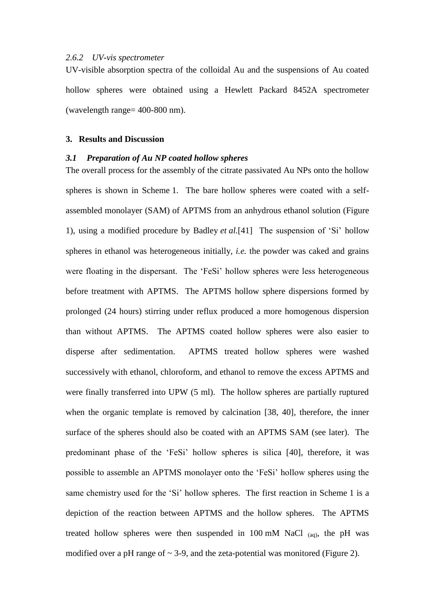## *2.6.2 UV-vis spectrometer*

UV-visible absorption spectra of the colloidal Au and the suspensions of Au coated hollow spheres were obtained using a Hewlett Packard 8452A spectrometer (wavelength range= 400-800 nm).

## **3. Results and Discussion**

#### *3.1 Preparation of Au NP coated hollow spheres*

The overall process for the assembly of the citrate passivated Au NPs onto the hollow spheres is shown in Scheme 1. The bare hollow spheres were coated with a selfassembled monolayer (SAM) of APTMS from an anhydrous ethanol solution [\(Figure](#page-24-0)  [1\)](#page-24-0), using a modified procedure by Badley *et al.*[41] The suspension of 'Si' hollow spheres in ethanol was heterogeneous initially, *i.e.* the powder was caked and grains were floating in the dispersant. The 'FeSi' hollow spheres were less heterogeneous before treatment with APTMS. The APTMS hollow sphere dispersions formed by prolonged (24 hours) stirring under reflux produced a more homogenous dispersion than without APTMS. The APTMS coated hollow spheres were also easier to disperse after sedimentation. APTMS treated hollow spheres were washed successively with ethanol, chloroform, and ethanol to remove the excess APTMS and were finally transferred into UPW (5 ml). The hollow spheres are partially ruptured when the organic template is removed by calcination [38, 40], therefore, the inner surface of the spheres should also be coated with an APTMS SAM (see later). The predominant phase of the 'FeSi' hollow spheres is silica [40], therefore, it was possible to assemble an APTMS monolayer onto the 'FeSi' hollow spheres using the same chemistry used for the 'Si' hollow spheres. The first reaction in Scheme 1 is a depiction of the reaction between APTMS and the hollow spheres. The APTMS treated hollow spheres were then suspended in 100 mM NaCl  $_{(aq)}$ , the pH was modified over a pH range of  $\sim$  3-9, and the zeta-potential was monitored (Figure 2).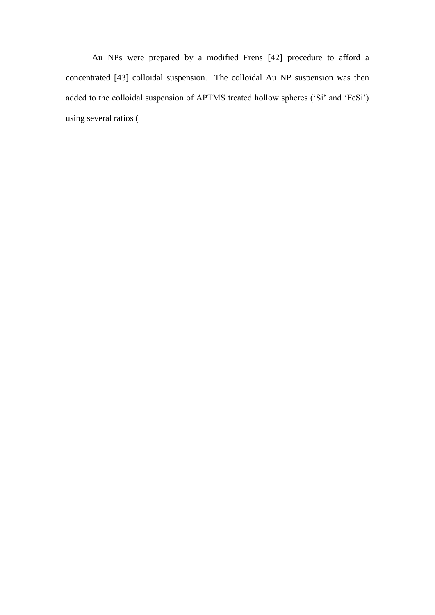Au NPs were prepared by a modified Frens [42] procedure to afford a concentrated [43] colloidal suspension. The colloidal Au NP suspension was then added to the colloidal suspension of APTMS treated hollow spheres ('Si' and 'FeSi') using several ratios [\(](#page-21-0)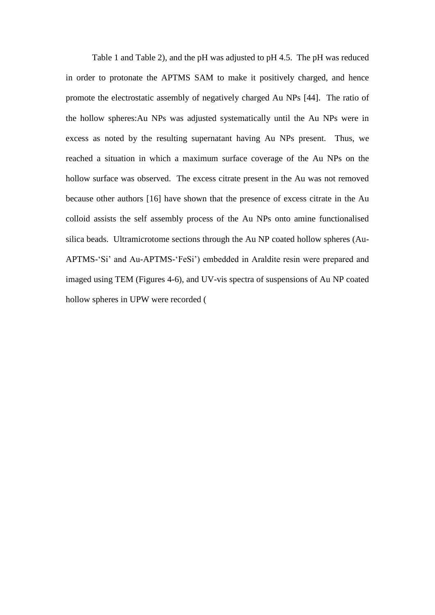[Table](#page-21-0) 1 and [Table 2\)](#page-23-0), and the pH was adjusted to pH 4.5. The pH was reduced in order to protonate the APTMS SAM to make it positively charged, and hence promote the electrostatic assembly of negatively charged Au NPs [44]. The ratio of the hollow spheres:Au NPs was adjusted systematically until the Au NPs were in excess as noted by the resulting supernatant having Au NPs present. Thus, we reached a situation in which a maximum surface coverage of the Au NPs on the hollow surface was observed. The excess citrate present in the Au was not removed because other authors [16] have shown that the presence of excess citrate in the Au colloid assists the self assembly process of the Au NPs onto amine functionalised silica beads. Ultramicrotome sections through the Au NP coated hollow spheres (Au-APTMS-'Si' and Au-APTMS-'FeSi') embedded in Araldite resin were prepared and imaged using TEM (Figures 4-6), and UV-vis spectra of suspensions of Au NP coated hollow spheres in UPW were recorded [\(](#page-21-0)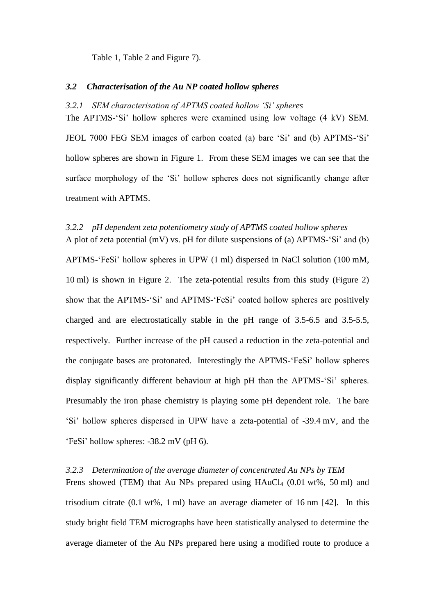[Table](#page-21-0) 1, [Table 2](#page-23-0) and [Figure 7\)](#page-26-0).

## *3.2 Characterisation of the Au NP coated hollow spheres*

#### *3.2.1 SEM characterisation of APTMS coated hollow 'Si' spheres*

The APTMS-'Si' hollow spheres were examined using low voltage (4 kV) SEM. JEOL 7000 FEG SEM images of carbon coated (a) bare 'Si' and (b) APTMS-'Si' hollow spheres are shown in [Figure 1.](#page-24-0) From these SEM images we can see that the surface morphology of the 'Si' hollow spheres does not significantly change after treatment with APTMS.

## *3.2.2 pH dependent zeta potentiometry study of APTMS coated hollow spheres*

A plot of zeta potential (mV) vs. pH for dilute suspensions of (a) APTMS-'Si' and (b) APTMS-'FeSi' hollow spheres in UPW (1 ml) dispersed in NaCl solution (100 mM, 10 ml) is shown in Figure 2. The zeta-potential results from this study (Figure 2) show that the APTMS-'Si' and APTMS-'FeSi' coated hollow spheres are positively charged and are electrostatically stable in the pH range of 3.5-6.5 and 3.5-5.5, respectively. Further increase of the pH caused a reduction in the zeta-potential and the conjugate bases are protonated. Interestingly the APTMS-'FeSi' hollow spheres display significantly different behaviour at high pH than the APTMS-'Si' spheres. Presumably the iron phase chemistry is playing some pH dependent role. The bare 'Si' hollow spheres dispersed in UPW have a zeta-potential of -39.4 mV, and the 'FeSi' hollow spheres: -38.2 mV (pH 6).

## *3.2.3 Determination of the average diameter of concentrated Au NPs by TEM*

Frens showed (TEM) that Au NPs prepared using  $HAuCl<sub>4</sub>$  (0.01 wt%, 50 ml) and trisodium citrate (0.1 wt%, 1 ml) have an average diameter of 16 nm [42]. In this study bright field TEM micrographs have been statistically analysed to determine the average diameter of the Au NPs prepared here using a modified route to produce a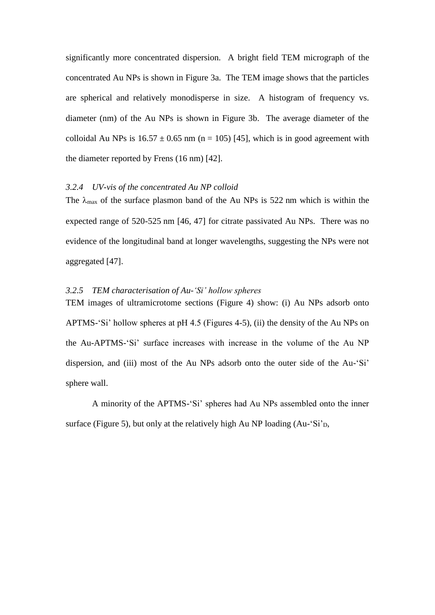significantly more concentrated dispersion. A bright field TEM micrograph of the concentrated Au NPs is shown in Figure 3a. The TEM image shows that the particles are spherical and relatively monodisperse in size. A histogram of frequency vs. diameter (nm) of the Au NPs is shown in Figure 3b. The average diameter of the colloidal Au NPs is  $16.57 \pm 0.65$  nm (n = 105) [45], which is in good agreement with the diameter reported by Frens (16 nm) [42].

## *3.2.4 UV-vis of the concentrated Au NP colloid*

The  $\lambda_{\text{max}}$  of the surface plasmon band of the Au NPs is 522 nm which is within the expected range of 520-525 nm [46, 47] for citrate passivated Au NPs. There was no evidence of the longitudinal band at longer wavelengths, suggesting the NPs were not aggregated [47].

## *3.2.5 TEM characterisation of Au-'Si' hollow spheres*

TEM images of ultramicrotome sections [\(Figure 4\)](#page-24-1) show: (i) Au NPs adsorb onto APTMS-'Si' hollow spheres at pH 4.5 (Figures 4-5), (ii) the density of the Au NPs on the Au-APTMS-'Si' surface increases with increase in the volume of the Au NP dispersion, and (iii) most of the Au NPs adsorb onto the outer side of the Au-'Si' sphere wall.

A minority of the APTMS-'Si' spheres had Au NPs assembled onto the inner surface [\(Figure 5\)](#page-25-0),but only at the relatively high Au NP loading  $(Au-Si<sup>o</sup>)$ ,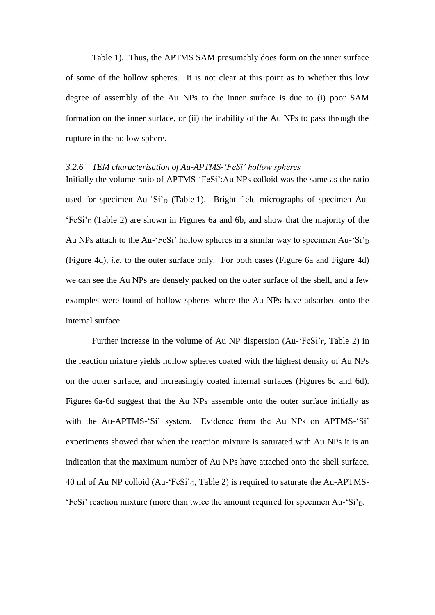[Table](#page-21-0) 1). Thus, the APTMS SAM presumably does form on the inner surface of some of the hollow spheres. It is not clear at this point as to whether this low degree of assembly of the Au NPs to the inner surface is due to (i) poor SAM formation on the inner surface, or (ii) the inability of the Au NPs to pass through the rupture in the hollow sphere.

## *3.2.6 TEM characterisation of Au-APTMS-'FeSi' hollow spheres*

Initially the volume ratio of APTMS-'FeSi':Au NPs colloid was the same as the ratio used for specimen Au-'Si'<sub>D</sub> (Table 1). Bright field micrographs of specimen Au- $Fesi_E$  [\(Table 2\)](#page-23-0) are shown in Figures 6a and 6b, and show that the majority of the Au NPs attach to the Au-'FeSi' hollow spheres in a similar way to specimen Au-'Si'<sub>D</sub> [\(Figure 4d](#page-24-1)), *i.e.* to the outer surface only. For both cases [\(Figure 6a](#page-26-1) and [Figure 4d](#page-24-1)) we can see the Au NPs are densely packed on the outer surface of the shell, and a few examples were found of hollow spheres where the Au NPs have adsorbed onto the internal surface.

Further increase in the volume of Au NP dispersion  $(Au - Fesi)$ <sup>F</sup>, [Table 2\)](#page-23-0) in the reaction mixture yields hollow spheres coated with the highest density of Au NPs on the outer surface, and increasingly coated internal surfaces (Figures 6c and 6d). Figures 6a-6d suggest that the Au NPs assemble onto the outer surface initially as with the Au-APTMS-'Si' system. Evidence from the Au NPs on APTMS-'Si' experiments showed that when the reaction mixture is saturated with Au NPs it is an indication that the maximum number of Au NPs have attached onto the shell surface. 40 ml of Au NP colloid (Au-'FeSi'G, [Table 2\)](#page-23-0) is required to saturate the Au-APTMS- 'FeSi' reaction mixture (more than twice the amount required for specimen Au-'Si'D,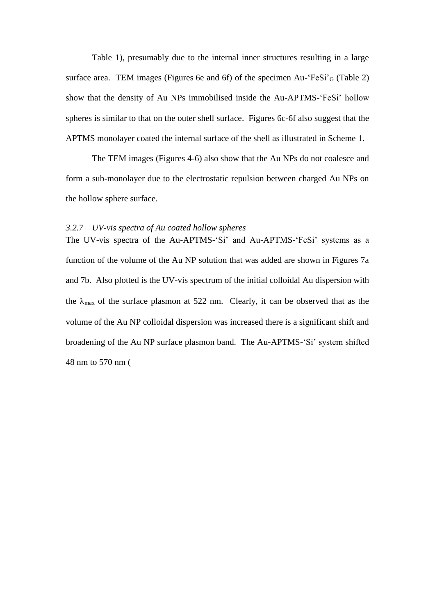[Table 1\)](#page-21-0), presumably due to the internal inner structures resulting in a large surface area. TEM images (Figures 6e and 6f) of the specimen  $Au$ -'FeSi'<sub>G</sub> [\(Table 2\)](#page-23-0) show that the density of Au NPs immobilised inside the Au-APTMS-'FeSi' hollow spheres is similar to that on the outer shell surface. Figures 6c-6f also suggest that the APTMS monolayer coated the internal surface of the shell as illustrated in Scheme 1.

The TEM images (Figures 4-6) also show that the Au NPs do not coalesce and form a sub-monolayer due to the electrostatic repulsion between charged Au NPs on the hollow sphere surface.

## *3.2.7 UV-vis spectra of Au coated hollow spheres*

The UV-vis spectra of the Au-APTMS-'Si' and Au-APTMS-'FeSi' systems as a function of the volume of the Au NP solution that was added are shown in Figures 7a and 7b. Also plotted is the UV-vis spectrum of the initial colloidal Au dispersion with the  $\lambda_{\text{max}}$  of the surface plasmon at 522 nm. Clearly, it can be observed that as the volume of the Au NP colloidal dispersion was increased there is a significant shift and broadening of the Au NP surface plasmon band. The Au-APTMS-'Si' system shifted 48 nm to 570 nm [\(](#page-21-0)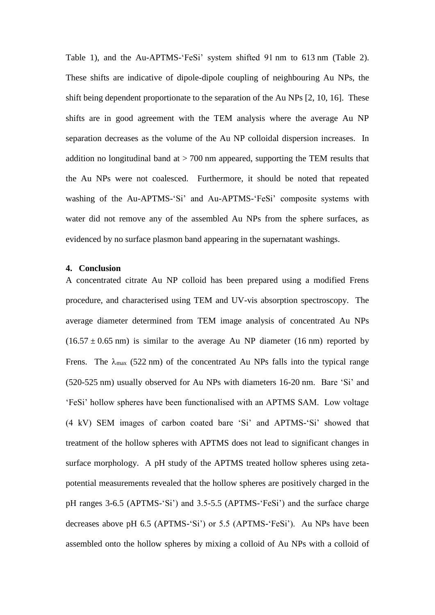[Table](#page-21-0) 1), and the Au-APTMS-'FeSi' system shifted 91 nm to 613 nm [\(Table 2\)](#page-23-0). These shifts are indicative of dipole-dipole coupling of neighbouring Au NPs, the shift being dependent proportionate to the separation of the Au NPs [2, 10, 16]. These shifts are in good agreement with the TEM analysis where the average Au NP separation decreases as the volume of the Au NP colloidal dispersion increases. In addition no longitudinal band at  $> 700$  nm appeared, supporting the TEM results that the Au NPs were not coalesced. Furthermore, it should be noted that repeated washing of the Au-APTMS-'Si' and Au-APTMS-'FeSi' composite systems with water did not remove any of the assembled Au NPs from the sphere surfaces, as evidenced by no surface plasmon band appearing in the supernatant washings.

## **4. Conclusion**

A concentrated citrate Au NP colloid has been prepared using a modified Frens procedure, and characterised using TEM and UV-vis absorption spectroscopy. The average diameter determined from TEM image analysis of concentrated Au NPs  $(16.57 \pm 0.65 \text{ nm})$  is similar to the average Au NP diameter (16 nm) reported by Frens. The  $\lambda_{\text{max}}$  (522 nm) of the concentrated Au NPs falls into the typical range (520-525 nm) usually observed for Au NPs with diameters 16-20 nm. Bare 'Si' and 'FeSi' hollow spheres have been functionalised with an APTMS SAM. Low voltage (4 kV) SEM images of carbon coated bare 'Si' and APTMS-'Si' showed that treatment of the hollow spheres with APTMS does not lead to significant changes in surface morphology. A pH study of the APTMS treated hollow spheres using zetapotential measurements revealed that the hollow spheres are positively charged in the pH ranges 3-6.5 (APTMS-'Si') and 3.5-5.5 (APTMS-'FeSi') and the surface charge decreases above pH 6.5 (APTMS-'Si') or 5.5 (APTMS-'FeSi'). Au NPs have been assembled onto the hollow spheres by mixing a colloid of Au NPs with a colloid of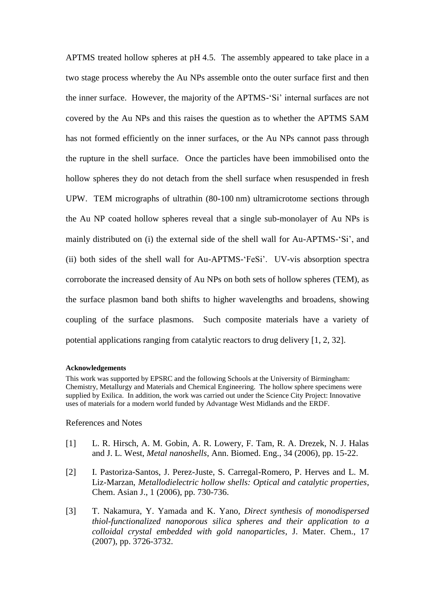APTMS treated hollow spheres at pH 4.5. The assembly appeared to take place in a two stage process whereby the Au NPs assemble onto the outer surface first and then the inner surface. However, the majority of the APTMS-'Si' internal surfaces are not covered by the Au NPs and this raises the question as to whether the APTMS SAM has not formed efficiently on the inner surfaces, or the Au NPs cannot pass through the rupture in the shell surface. Once the particles have been immobilised onto the hollow spheres they do not detach from the shell surface when resuspended in fresh UPW. TEM micrographs of ultrathin (80-100 nm) ultramicrotome sections through the Au NP coated hollow spheres reveal that a single sub-monolayer of Au NPs is mainly distributed on (i) the external side of the shell wall for Au-APTMS-'Si', and (ii) both sides of the shell wall for Au-APTMS-'FeSi'. UV-vis absorption spectra corroborate the increased density of Au NPs on both sets of hollow spheres (TEM), as the surface plasmon band both shifts to higher wavelengths and broadens, showing coupling of the surface plasmons. Such composite materials have a variety of potential applications ranging from catalytic reactors to drug delivery [1, 2, 32].

#### **Acknowledgements**

This work was supported by EPSRC and the following Schools at the University of Birmingham: Chemistry, Metallurgy and Materials and Chemical Engineering. The hollow sphere specimens were supplied by Exilica. In addition, the work was carried out under the Science City Project: Innovative uses of materials for a modern world funded by Advantage West Midlands and the ERDF.

#### References and Notes

- [1] L. R. Hirsch, A. M. Gobin, A. R. Lowery, F. Tam, R. A. Drezek, N. J. Halas and J. L. West, *Metal nanoshells*, Ann. Biomed. Eng., 34 (2006), pp. 15-22.
- [2] I. Pastoriza-Santos, J. Perez-Juste, S. Carregal-Romero, P. Herves and L. M. Liz-Marzan, *Metallodielectric hollow shells: Optical and catalytic properties*, Chem. Asian J., 1 (2006), pp. 730-736.
- [3] T. Nakamura, Y. Yamada and K. Yano, *Direct synthesis of monodispersed thiol-functionalized nanoporous silica spheres and their application to a colloidal crystal embedded with gold nanoparticles*, J. Mater. Chem., 17 (2007), pp. 3726-3732.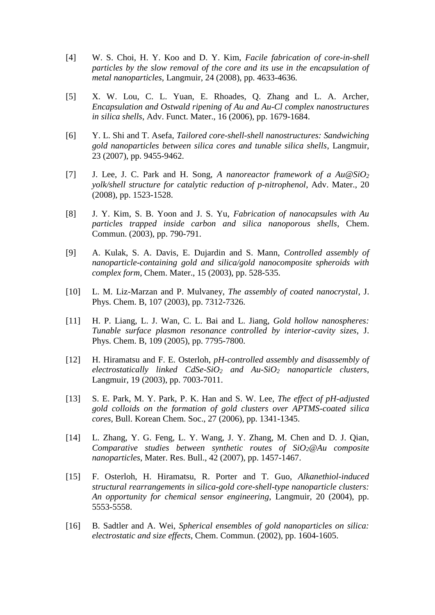- [4] W. S. Choi, H. Y. Koo and D. Y. Kim, *Facile fabrication of core-in-shell particles by the slow removal of the core and its use in the encapsulation of metal nanoparticles*, Langmuir, 24 (2008), pp. 4633-4636.
- [5] X. W. Lou, C. L. Yuan, E. Rhoades, Q. Zhang and L. A. Archer, *Encapsulation and Ostwald ripening of Au and Au-Cl complex nanostructures in silica shells*, Adv. Funct. Mater., 16 (2006), pp. 1679-1684.
- [6] Y. L. Shi and T. Asefa, *Tailored core-shell-shell nanostructures: Sandwiching gold nanoparticles between silica cores and tunable silica shells*, Langmuir, 23 (2007), pp. 9455-9462.
- [7] J. Lee, J. C. Park and H. Song, *A nanoreactor framework of a Au@SiO<sup>2</sup> yolk/shell structure for catalytic reduction of p-nitrophenol*, Adv. Mater., 20 (2008), pp. 1523-1528.
- [8] J. Y. Kim, S. B. Yoon and J. S. Yu, *Fabrication of nanocapsules with Au particles trapped inside carbon and silica nanoporous shells*, Chem. Commun. (2003), pp. 790-791.
- [9] A. Kulak, S. A. Davis, E. Dujardin and S. Mann, *Controlled assembly of nanoparticle-containing gold and silica/gold nanocomposite spheroids with complex form*, Chem. Mater., 15 (2003), pp. 528-535.
- [10] L. M. Liz-Marzan and P. Mulvaney, *The assembly of coated nanocrystal*, J. Phys. Chem. B, 107 (2003), pp. 7312-7326.
- [11] H. P. Liang, L. J. Wan, C. L. Bai and L. Jiang, *Gold hollow nanospheres: Tunable surface plasmon resonance controlled by interior-cavity sizes*, J. Phys. Chem. B, 109 (2005), pp. 7795-7800.
- [12] H. Hiramatsu and F. E. Osterloh, *pH-controlled assembly and disassembly of electrostatically linked CdSe-SiO<sup>2</sup> and Au-SiO<sup>2</sup> nanoparticle clusters*, Langmuir, 19 (2003), pp. 7003-7011.
- [13] S. E. Park, M. Y. Park, P. K. Han and S. W. Lee, *The effect of pH-adjusted gold colloids on the formation of gold clusters over APTMS-coated silica cores*, Bull. Korean Chem. Soc., 27 (2006), pp. 1341-1345.
- [14] L. Zhang, Y. G. Feng, L. Y. Wang, J. Y. Zhang, M. Chen and D. J. Qian, *Comparative studies between synthetic routes of SiO2@Au composite nanoparticles*, Mater. Res. Bull., 42 (2007), pp. 1457-1467.
- [15] F. Osterloh, H. Hiramatsu, R. Porter and T. Guo, *Alkanethiol-induced structural rearrangements in silica-gold core-shell-type nanoparticle clusters: An opportunity for chemical sensor engineering*, Langmuir, 20 (2004), pp. 5553-5558.
- [16] B. Sadtler and A. Wei, *Spherical ensembles of gold nanoparticles on silica: electrostatic and size effects*, Chem. Commun. (2002), pp. 1604-1605.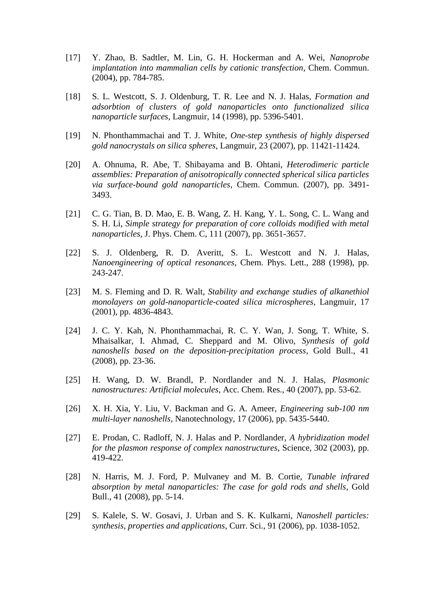- [17] Y. Zhao, B. Sadtler, M. Lin, G. H. Hockerman and A. Wei, *Nanoprobe implantation into mammalian cells by cationic transfection*, Chem. Commun. (2004), pp. 784-785.
- [18] S. L. Westcott, S. J. Oldenburg, T. R. Lee and N. J. Halas, *Formation and adsorbtion of clusters of gold nanoparticles onto functionalized silica nanoparticle surfaces*, Langmuir, 14 (1998), pp. 5396-5401.
- [19] N. Phonthammachai and T. J. White, *One-step synthesis of highly dispersed gold nanocrystals on silica spheres*, Langmuir, 23 (2007), pp. 11421-11424.
- [20] A. Ohnuma, R. Abe, T. Shibayama and B. Ohtani, *Heterodimeric particle assemblies: Preparation of anisotropically connected spherical silica particles via surface-bound gold nanoparticles*, Chem. Commun. (2007), pp. 3491- 3493.
- [21] C. G. Tian, B. D. Mao, E. B. Wang, Z. H. Kang, Y. L. Song, C. L. Wang and S. H. Li, *Simple strategy for preparation of core colloids modified with metal nanoparticles*, J. Phys. Chem. C, 111 (2007), pp. 3651-3657.
- [22] S. J. Oldenberg, R. D. Averitt, S. L. Westcott and N. J. Halas, *Nanoengineering of optical resonances*, Chem. Phys. Lett., 288 (1998), pp. 243-247.
- [23] M. S. Fleming and D. R. Walt, *Stability and exchange studies of alkanethiol monolayers on gold-nanoparticle-coated silica microspheres*, Langmuir, 17 (2001), pp. 4836-4843.
- [24] J. C. Y. Kah, N. Phonthammachai, R. C. Y. Wan, J. Song, T. White, S. Mhaisalkar, I. Ahmad, C. Sheppard and M. Olivo, *Synthesis of gold nanoshells based on the deposition-precipitation process*, Gold Bull., 41 (2008), pp. 23-36.
- [25] H. Wang, D. W. Brandl, P. Nordlander and N. J. Halas, *Plasmonic nanostructures: Artificial molecules*, Acc. Chem. Res., 40 (2007), pp. 53-62.
- [26] X. H. Xia, Y. Liu, V. Backman and G. A. Ameer, *Engineering sub-100 nm multi-layer nanoshells*, Nanotechnology, 17 (2006), pp. 5435-5440.
- [27] E. Prodan, C. Radloff, N. J. Halas and P. Nordlander, *A hybridization model for the plasmon response of complex nanostructures*, Science, 302 (2003), pp. 419-422.
- [28] N. Harris, M. J. Ford, P. Mulvaney and M. B. Cortie, *Tunable infrared absorption by metal nanoparticles: The case for gold rods and shells*, Gold Bull., 41 (2008), pp. 5-14.
- [29] S. Kalele, S. W. Gosavi, J. Urban and S. K. Kulkarni, *Nanoshell particles: synthesis, properties and applications*, Curr. Sci., 91 (2006), pp. 1038-1052.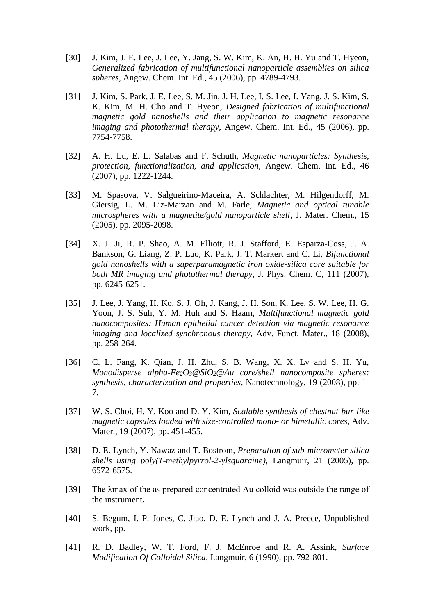- [30] J. Kim, J. E. Lee, J. Lee, Y. Jang, S. W. Kim, K. An, H. H. Yu and T. Hyeon, *Generalized fabrication of multifunctional nanoparticle assemblies on silica spheres*, Angew. Chem. Int. Ed., 45 (2006), pp. 4789-4793.
- [31] J. Kim, S. Park, J. E. Lee, S. M. Jin, J. H. Lee, I. S. Lee, I. Yang, J. S. Kim, S. K. Kim, M. H. Cho and T. Hyeon, *Designed fabrication of multifunctional magnetic gold nanoshells and their application to magnetic resonance imaging and photothermal therapy*, Angew. Chem. Int. Ed., 45 (2006), pp. 7754-7758.
- [32] A. H. Lu, E. L. Salabas and F. Schuth, *Magnetic nanoparticles: Synthesis, protection, functionalization, and application*, Angew. Chem. Int. Ed., 46 (2007), pp. 1222-1244.
- [33] M. Spasova, V. Salgueirino-Maceira, A. Schlachter, M. Hilgendorff, M. Giersig, L. M. Liz-Marzan and M. Farle, *Magnetic and optical tunable microspheres with a magnetite/gold nanoparticle shell*, J. Mater. Chem., 15 (2005), pp. 2095-2098.
- [34] X. J. Ji, R. P. Shao, A. M. Elliott, R. J. Stafford, E. Esparza-Coss, J. A. Bankson, G. Liang, Z. P. Luo, K. Park, J. T. Markert and C. Li, *Bifunctional gold nanoshells with a superparamagnetic iron oxide-silica core suitable for both MR imaging and photothermal therapy*, J. Phys. Chem. C, 111 (2007), pp. 6245-6251.
- [35] J. Lee, J. Yang, H. Ko, S. J. Oh, J. Kang, J. H. Son, K. Lee, S. W. Lee, H. G. Yoon, J. S. Suh, Y. M. Huh and S. Haam, *Multifunctional magnetic gold nanocomposites: Human epithelial cancer detection via magnetic resonance imaging and localized synchronous therapy*, Adv. Funct. Mater., 18 (2008), pp. 258-264.
- [36] C. L. Fang, K. Qian, J. H. Zhu, S. B. Wang, X. X. Lv and S. H. Yu, *Monodisperse alpha-Fe2O3@SiO2@Au core/shell nanocomposite spheres: synthesis, characterization and properties*, Nanotechnology, 19 (2008), pp. 1- 7.
- [37] W. S. Choi, H. Y. Koo and D. Y. Kim, *Scalable synthesis of chestnut-bur-like magnetic capsules loaded with size-controlled mono- or bimetallic cores*, Adv. Mater., 19 (2007), pp. 451-455.
- [38] D. E. Lynch, Y. Nawaz and T. Bostrom, *Preparation of sub-micrometer silica shells using poly(1-methylpyrrol-2-ylsquaraine)*, Langmuir, 21 (2005), pp. 6572-6575.
- [39] The λmax of the as prepared concentrated Au colloid was outside the range of the instrument.
- [40] S. Begum, I. P. Jones, C. Jiao, D. E. Lynch and J. A. Preece, Unpublished work, pp.
- [41] R. D. Badley, W. T. Ford, F. J. McEnroe and R. A. Assink, *Surface Modification Of Colloidal Silica*, Langmuir, 6 (1990), pp. 792-801.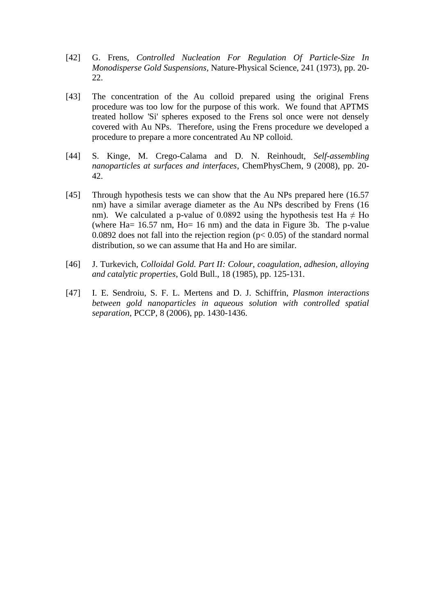- [42] G. Frens, *Controlled Nucleation For Regulation Of Particle-Size In Monodisperse Gold Suspensions*, Nature-Physical Science, 241 (1973), pp. 20- 22.
- [43] The concentration of the Au colloid prepared using the original Frens procedure was too low for the purpose of this work. We found that APTMS treated hollow 'Si' spheres exposed to the Frens sol once were not densely covered with Au NPs. Therefore, using the Frens procedure we developed a procedure to prepare a more concentrated Au NP colloid.
- [44] S. Kinge, M. Crego-Calama and D. N. Reinhoudt, *Self-assembling nanoparticles at surfaces and interfaces*, ChemPhysChem, 9 (2008), pp. 20- 42.
- [45] Through hypothesis tests we can show that the Au NPs prepared here (16.57 nm) have a similar average diameter as the Au NPs described by Frens (16 nm). We calculated a p-value of 0.0892 using the hypothesis test Ha  $\neq$  Ho (where Ha= 16.57 nm, Ho= 16 nm) and the data in Figure 3b. The p-value 0.0892 does not fall into the rejection region ( $p$ < 0.05) of the standard normal distribution, so we can assume that Ha and Ho are similar.
- [46] J. Turkevich, *Colloidal Gold. Part II: Colour, coagulation, adhesion, alloying and catalytic properties*, Gold Bull., 18 (1985), pp. 125-131.
- <span id="page-21-0"></span>[47] I. E. Sendroiu, S. F. L. Mertens and D. J. Schiffrin, *Plasmon interactions between gold nanoparticles in aqueous solution with controlled spatial separation*, PCCP, 8 (2006), pp. 1430-1436.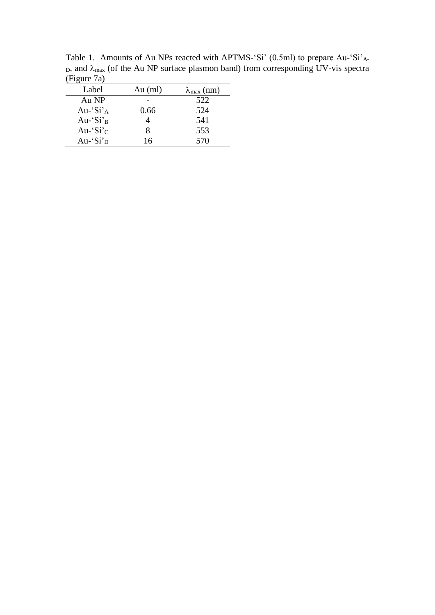| $\frac{1}{2}$ |         |                             |
|---------------|---------|-----------------------------|
| Label         | Au (ml) | $\lambda_{\text{max}}$ (nm) |
| Au NP         |         | 522                         |
| $Au-Si'A$     | 0.66    | 524                         |
| $Au-Si2B$     |         | 541                         |
| Au-'Si'c      |         | 553                         |
| $Au-SiD$      | 16      | 570                         |

Table 1. Amounts of Au NPs reacted with APTMS-'Si' (0.5ml) to prepare Au-'Si'A- $D$ , and  $\lambda_{\text{max}}$  (of the Au NP surface plasmon band) from corresponding UV-vis spectra [\(Figure 7a](#page-26-0))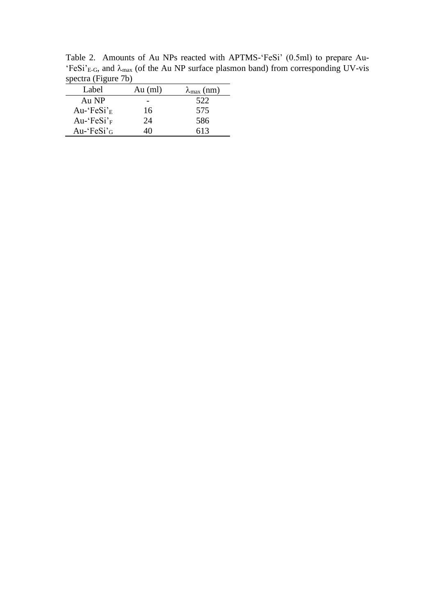<span id="page-23-0"></span>

| Table 2. Amounts of Au NPs reacted with APTMS-'FeSi' (0.5ml) to prepare Au-                                      |
|------------------------------------------------------------------------------------------------------------------|
| 'FeSi' <sub>E-G</sub> , and $\lambda_{\text{max}}$ (of the Au NP surface plasmon band) from corresponding UV-vis |
| spectra (Figure 7b)                                                                                              |

| Label                           | Au $(ml)$ | $\lambda_{\text{max}}$ (nm) |
|---------------------------------|-----------|-----------------------------|
| Au NP                           |           | 522                         |
| $Au$ -'Fe $Si$ <sup>'</sup> E   | 16        | 575                         |
| $Au$ -'Fe $Si$ <sup>'</sup> $F$ | 24        | 586                         |
| Au-'Fe $SiG$                    | 10        | 613                         |
|                                 |           |                             |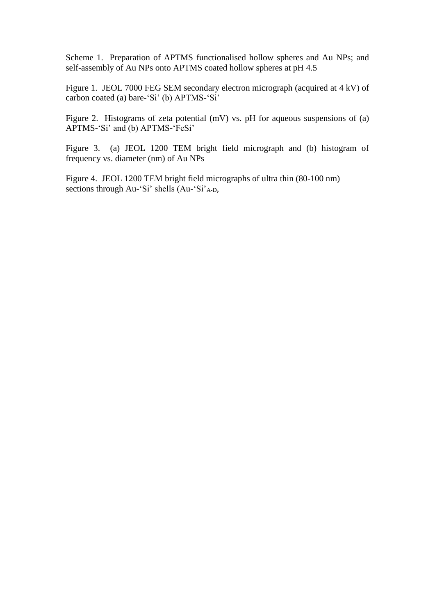Scheme 1. Preparation of APTMS functionalised hollow spheres and Au NPs; and self-assembly of Au NPs onto APTMS coated hollow spheres at pH 4.5

<span id="page-24-0"></span>Figure 1. JEOL 7000 FEG SEM secondary electron micrograph (acquired at 4 kV) of carbon coated (a) bare-'Si' (b) APTMS-'Si'

Figure 2. Histograms of zeta potential (mV) vs. pH for aqueous suspensions of (a) APTMS-'Si' and (b) APTMS-'FeSi'

Figure 3. (a) JEOL 1200 TEM bright field micrograph and (b) histogram of frequency vs. diameter (nm) of Au NPs

<span id="page-24-1"></span>Figure 4. JEOL 1200 TEM bright field micrographs of ultra thin (80-100 nm) sectionsthrough Au-'Si' shells (Au-'Si'<sub>A-D</sub>,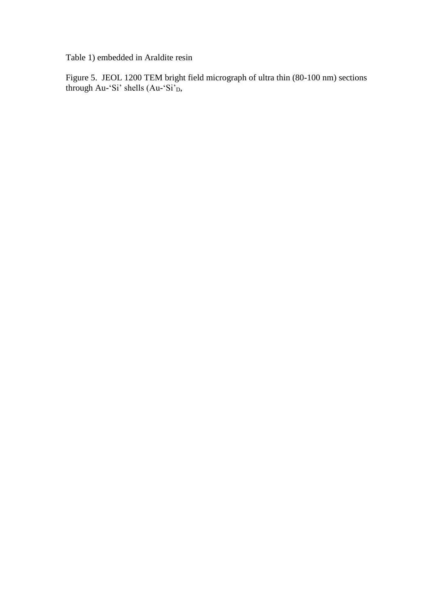[Table 1\)](#page-21-0) embedded in Araldite resin

<span id="page-25-0"></span>Figure 5. JEOL 1200 TEM bright field micrograph of ultra thin (80-100 nm) sections through Au-'Si' shells (Au-'Si'D,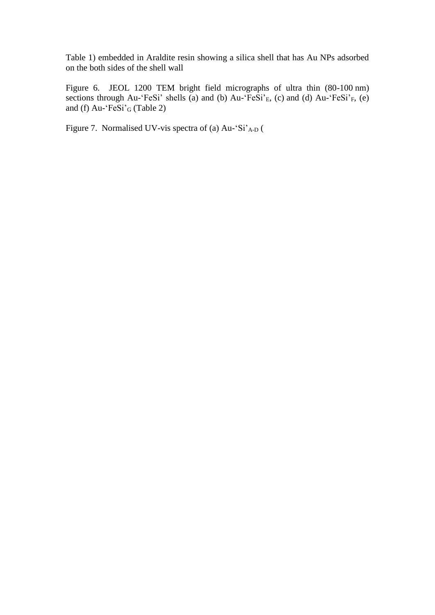[Table](#page-21-0) 1) embedded in Araldite resin showing a silica shell that has Au NPs adsorbed on the both sides of the shell wall

<span id="page-26-1"></span>Figure 6. JEOL 1200 TEM bright field micrographs of ultra thin (80-100 nm) sections through Au-'FeSi' shells (a) and (b) Au-'FeSi' $_E$ , (c) and (d) Au-'FeSi' $_F$ , (e) and (f) Au-'FeSi'<sub>G</sub> [\(Table 2\)](#page-23-0)

<span id="page-26-0"></span>Figure 7. Normalised UV-vis spectra of (a) Au-'Si'A-D [\(](#page-21-0)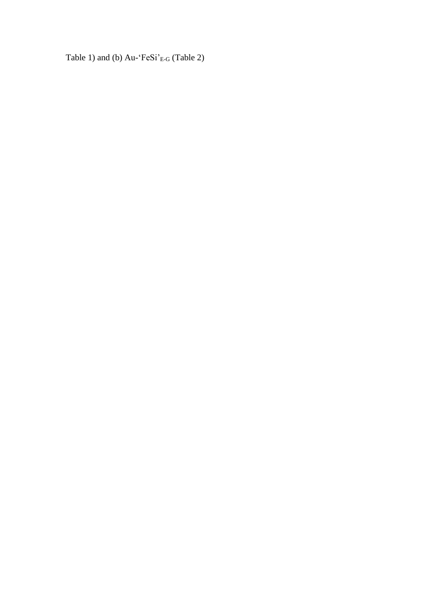Table 1) and (b) Au-'FeSi'E-G (Table 2)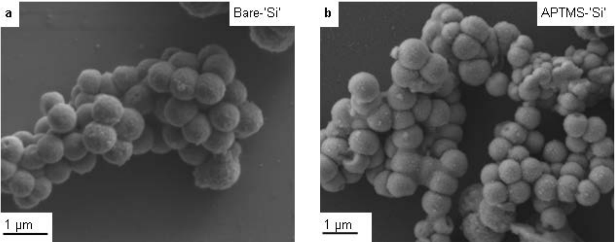

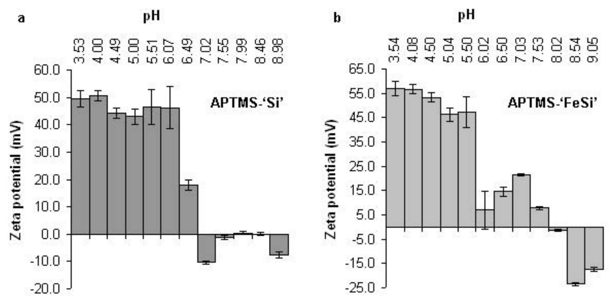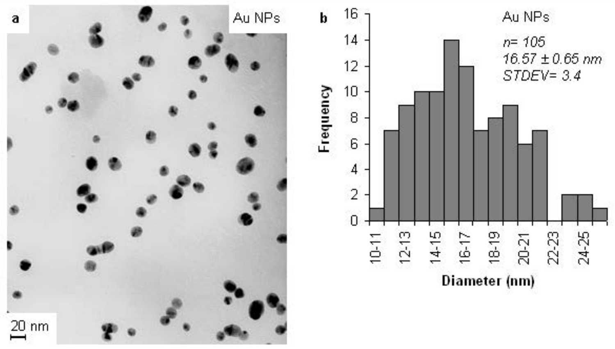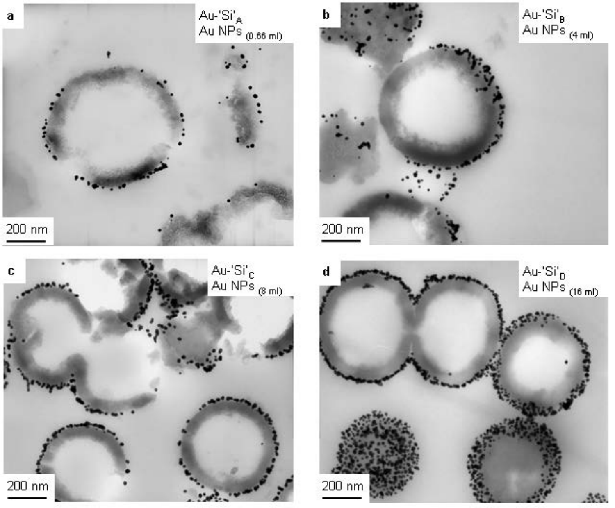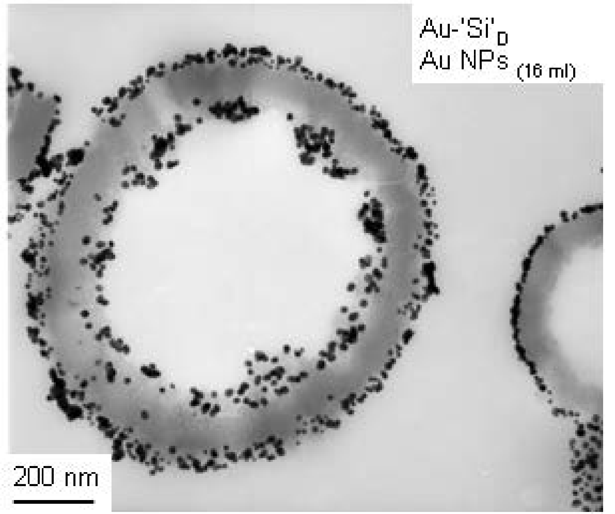Au-'Si'<sub>D</sub><br>Au NPs <sub>(16 ml)</sub> 200 nm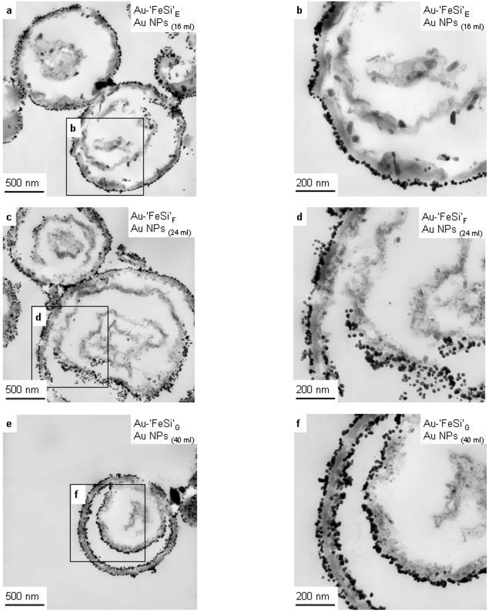



200 nm